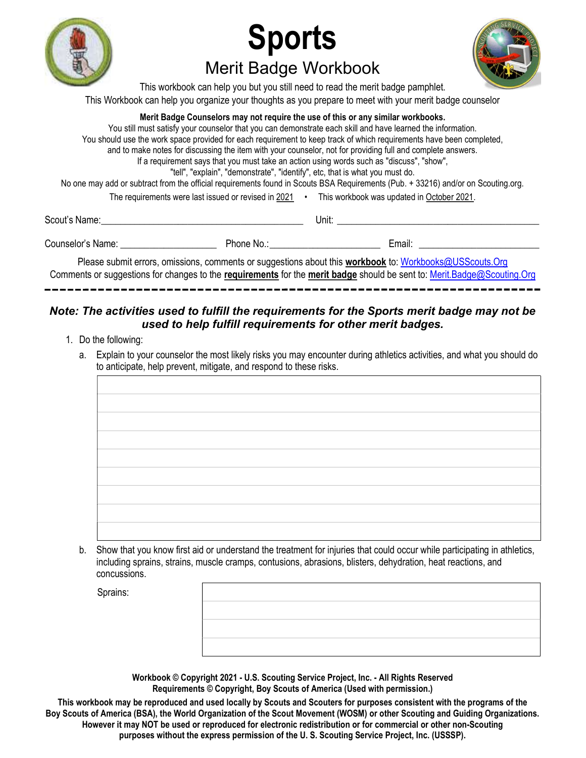

# Sports Merit Badge Workbook



This workbook can help you but you still need to read the merit badge pamphlet. This Workbook can help you organize your thoughts as you prepare to meet with your merit badge counselor

### Merit Badge Counselors may not require the use of this or any similar workbooks.

You still must satisfy your counselor that you can demonstrate each skill and have learned the information. You should use the work space provided for each requirement to keep track of which requirements have been completed, and to make notes for discussing the item with your counselor, not for providing full and complete answers. If a requirement says that you must take an action using words such as "discuss", "show", "tell", "explain", "demonstrate", "identify", etc, that is what you must do. No one may add or subtract from the official requirements found in Scouts BSA Requirements (Pub. + 33216) and/or on Scouting.org. The requirements were last issued or revised in 2021 • This workbook was updated in October 2021.

| Scout's Name:     | Unit:    |        |  |  |
|-------------------|----------|--------|--|--|
| Counselor's Name: | Phone No | ∃mail: |  |  |

Please submit errors, omissions, comments or suggestions about this workbook to: Workbooks@USScouts.Org Comments or suggestions for changes to the requirements for the merit badge should be sent to: Merit.Badge@Scouting.Org

### Note: The activities used to fulfill the requirements for the Sports merit badge may not be used to help fulfill requirements for other merit badges.

- 1. Do the following:
	- a. Explain to your counselor the most likely risks you may encounter during athletics activities, and what you should do to anticipate, help prevent, mitigate, and respond to these risks.

b. Show that you know first aid or understand the treatment for injuries that could occur while participating in athletics, including sprains, strains, muscle cramps, contusions, abrasions, blisters, dehydration, heat reactions, and concussions.

Sprains:

Workbook © Copyright 2021 - U.S. Scouting Service Project, Inc. - All Rights Reserved Requirements © Copyright, Boy Scouts of America (Used with permission.)

This workbook may be reproduced and used locally by Scouts and Scouters for purposes consistent with the programs of the Boy Scouts of America (BSA), the World Organization of the Scout Movement (WOSM) or other Scouting and Guiding Organizations. However it may NOT be used or reproduced for electronic redistribution or for commercial or other non-Scouting purposes without the express permission of the U. S. Scouting Service Project, Inc. (USSSP).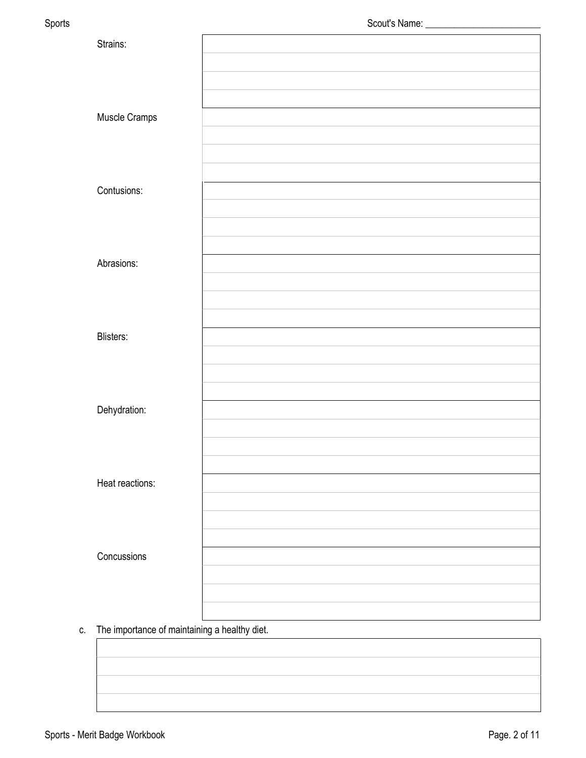| Sports |                 |  |
|--------|-----------------|--|
|        | Strains:        |  |
|        |                 |  |
|        |                 |  |
|        | Muscle Cramps   |  |
|        |                 |  |
|        |                 |  |
|        |                 |  |
|        | Contusions:     |  |
|        |                 |  |
|        |                 |  |
|        | Abrasions:      |  |
|        |                 |  |
|        |                 |  |
|        |                 |  |
|        | Blisters:       |  |
|        |                 |  |
|        |                 |  |
|        | Dehydration:    |  |
|        |                 |  |
|        |                 |  |
|        |                 |  |
|        | Heat reactions: |  |
|        |                 |  |
|        |                 |  |
|        | Concussions     |  |
|        |                 |  |
|        |                 |  |
|        |                 |  |

c. The importance of maintaining a healthy diet.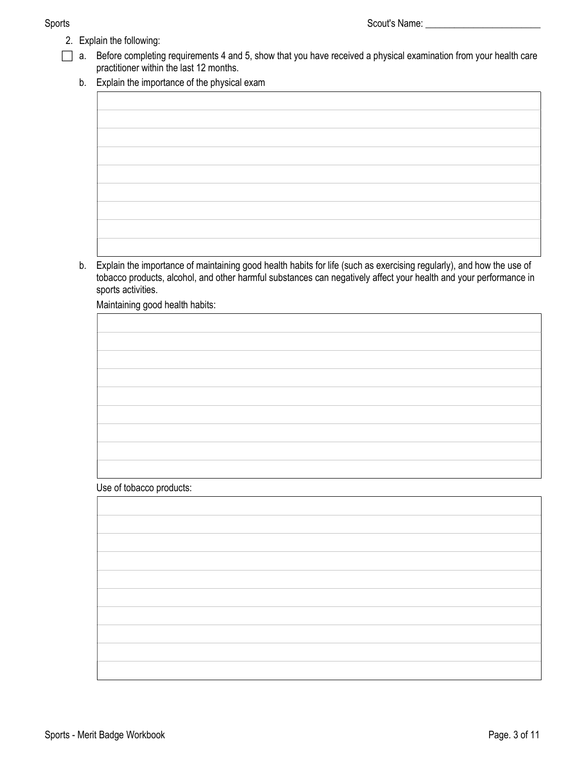- 2. Explain the following:
- a. Before completing requirements 4 and 5, show that you have received a physical examination from your health care practitioner within the last 12 months.
	- b. Explain the importance of the physical exam

b. Explain the importance of maintaining good health habits for life (such as exercising regularly), and how the use of tobacco products, alcohol, and other harmful substances can negatively affect your health and your performance in sports activities.

Maintaining good health habits:

Use of tobacco products: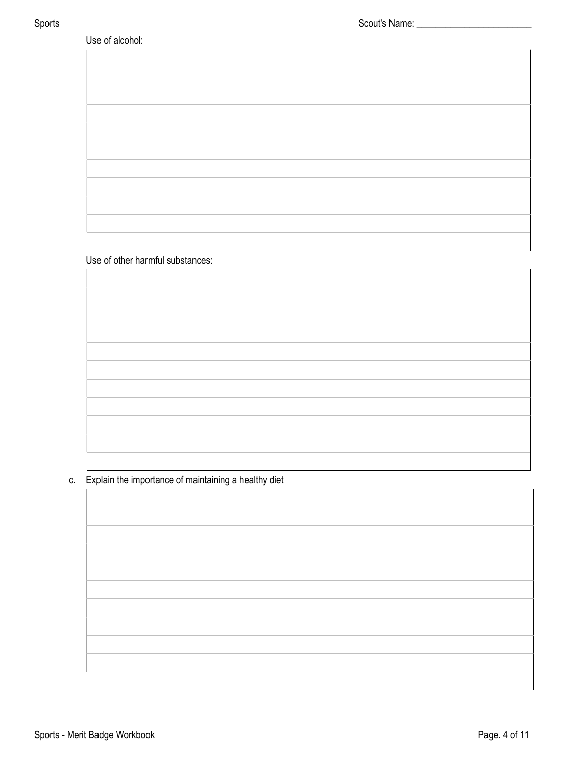| Use of alcohol: |  |  |  |  |  |
|-----------------|--|--|--|--|--|
|-----------------|--|--|--|--|--|

Use of other harmful substances:

c. Explain the importance of maintaining a healthy diet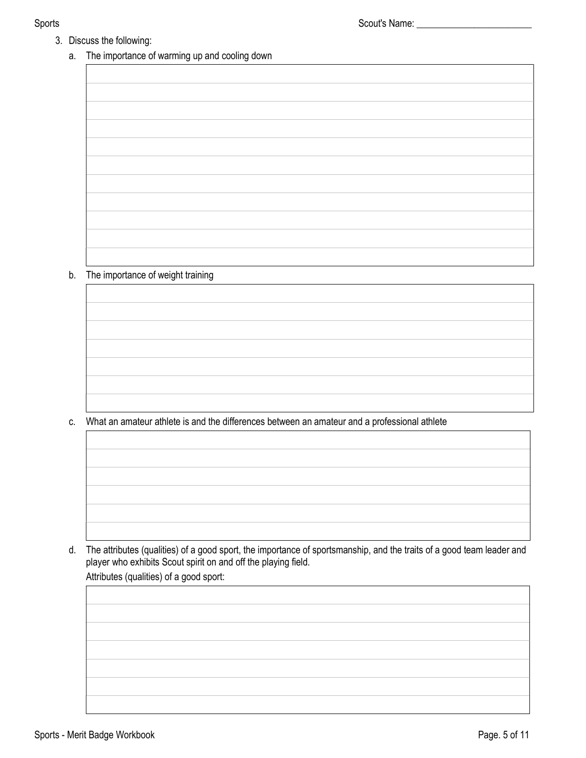- 3. Discuss the following:
	- a. The importance of warming up and cooling down

## b. The importance of weight training

c. What an amateur athlete is and the differences between an amateur and a professional athlete

d. The attributes (qualities) of a good sport, the importance of sportsmanship, and the traits of a good team leader and player who exhibits Scout spirit on and off the playing field.

### Attributes (qualities) of a good sport: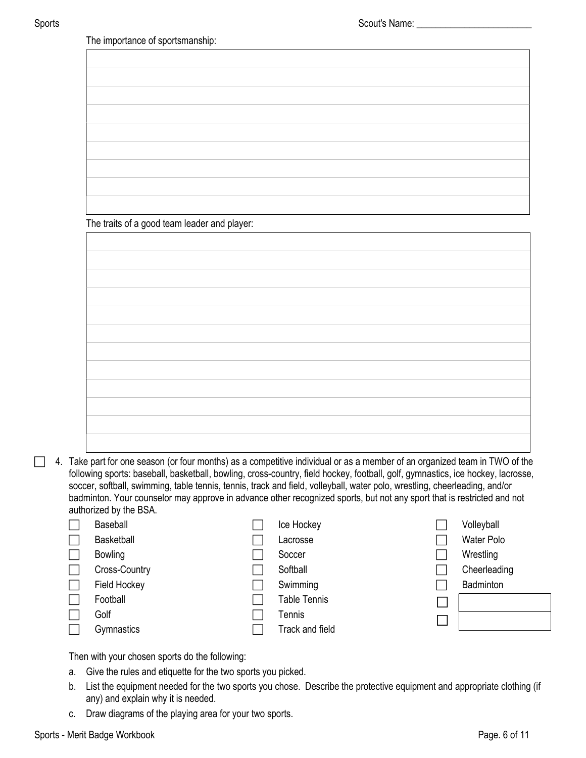The importance of sportsmanship:

The traits of a good team leader and player:

 $\Box$  4. Take part for one season (or four months) as a competitive individual or as a member of an organized team in TWO of the following sports: baseball, basketball, bowling, cross-country, field hockey, football, golf, gymnastics, ice hockey, lacrosse, soccer, softball, swimming, table tennis, tennis, track and field, volleyball, water polo, wrestling, cheerleading, and/or badminton. Your counselor may approve in advance other recognized sports, but not any sport that is restricted and not authorized by the BSA.

| Baseball          | Ice Hockey          | Volleyball        |
|-------------------|---------------------|-------------------|
| <b>Basketball</b> | Lacrosse            | <b>Water Polo</b> |
| <b>Bowling</b>    | Soccer              | Wrestling         |
| Cross-Country     | Softball            | Cheerleading      |
| Field Hockey      | Swimming            | Badminton         |
| Football          | <b>Table Tennis</b> |                   |
| Golf              | Tennis              |                   |
| Gymnastics        | Track and field     |                   |

Then with your chosen sports do the following:

- a. Give the rules and etiquette for the two sports you picked.
- b. List the equipment needed for the two sports you chose. Describe the protective equipment and appropriate clothing (if any) and explain why it is needed.
- c. Draw diagrams of the playing area for your two sports.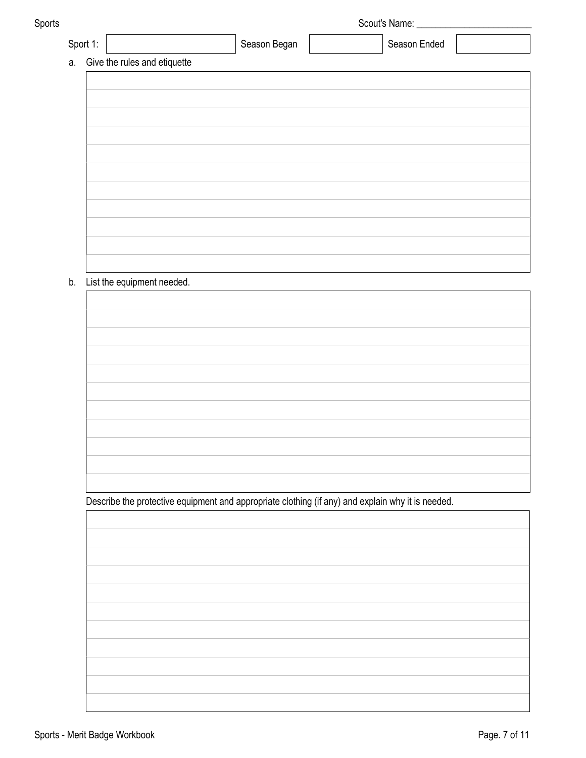| Sport 1:<br>Season Began<br>Season Ended<br>Give the rules and etiquette<br>List the equipment needed.<br>b.<br>Describe the protective equipment and appropriate clothing (if any) and explain why it is needed. |    |  | Scout's Name: |  |  |  |
|-------------------------------------------------------------------------------------------------------------------------------------------------------------------------------------------------------------------|----|--|---------------|--|--|--|
|                                                                                                                                                                                                                   |    |  |               |  |  |  |
|                                                                                                                                                                                                                   | a. |  |               |  |  |  |
|                                                                                                                                                                                                                   |    |  |               |  |  |  |
|                                                                                                                                                                                                                   |    |  |               |  |  |  |
|                                                                                                                                                                                                                   |    |  |               |  |  |  |
|                                                                                                                                                                                                                   |    |  |               |  |  |  |
|                                                                                                                                                                                                                   |    |  |               |  |  |  |
|                                                                                                                                                                                                                   |    |  |               |  |  |  |
|                                                                                                                                                                                                                   |    |  |               |  |  |  |
|                                                                                                                                                                                                                   |    |  |               |  |  |  |
|                                                                                                                                                                                                                   |    |  |               |  |  |  |
|                                                                                                                                                                                                                   |    |  |               |  |  |  |
|                                                                                                                                                                                                                   |    |  |               |  |  |  |
|                                                                                                                                                                                                                   |    |  |               |  |  |  |
|                                                                                                                                                                                                                   |    |  |               |  |  |  |
|                                                                                                                                                                                                                   |    |  |               |  |  |  |
|                                                                                                                                                                                                                   |    |  |               |  |  |  |
|                                                                                                                                                                                                                   |    |  |               |  |  |  |
|                                                                                                                                                                                                                   |    |  |               |  |  |  |
|                                                                                                                                                                                                                   |    |  |               |  |  |  |
|                                                                                                                                                                                                                   |    |  |               |  |  |  |
|                                                                                                                                                                                                                   |    |  |               |  |  |  |
|                                                                                                                                                                                                                   |    |  |               |  |  |  |
|                                                                                                                                                                                                                   |    |  |               |  |  |  |
|                                                                                                                                                                                                                   |    |  |               |  |  |  |
|                                                                                                                                                                                                                   |    |  |               |  |  |  |
|                                                                                                                                                                                                                   |    |  |               |  |  |  |
|                                                                                                                                                                                                                   |    |  |               |  |  |  |
|                                                                                                                                                                                                                   |    |  |               |  |  |  |
|                                                                                                                                                                                                                   |    |  |               |  |  |  |
|                                                                                                                                                                                                                   |    |  |               |  |  |  |
|                                                                                                                                                                                                                   |    |  |               |  |  |  |
|                                                                                                                                                                                                                   |    |  |               |  |  |  |
|                                                                                                                                                                                                                   |    |  |               |  |  |  |
|                                                                                                                                                                                                                   |    |  |               |  |  |  |
|                                                                                                                                                                                                                   |    |  |               |  |  |  |
|                                                                                                                                                                                                                   |    |  |               |  |  |  |
|                                                                                                                                                                                                                   |    |  |               |  |  |  |
|                                                                                                                                                                                                                   |    |  |               |  |  |  |
|                                                                                                                                                                                                                   |    |  |               |  |  |  |
|                                                                                                                                                                                                                   |    |  |               |  |  |  |
|                                                                                                                                                                                                                   |    |  |               |  |  |  |
|                                                                                                                                                                                                                   |    |  |               |  |  |  |
|                                                                                                                                                                                                                   |    |  |               |  |  |  |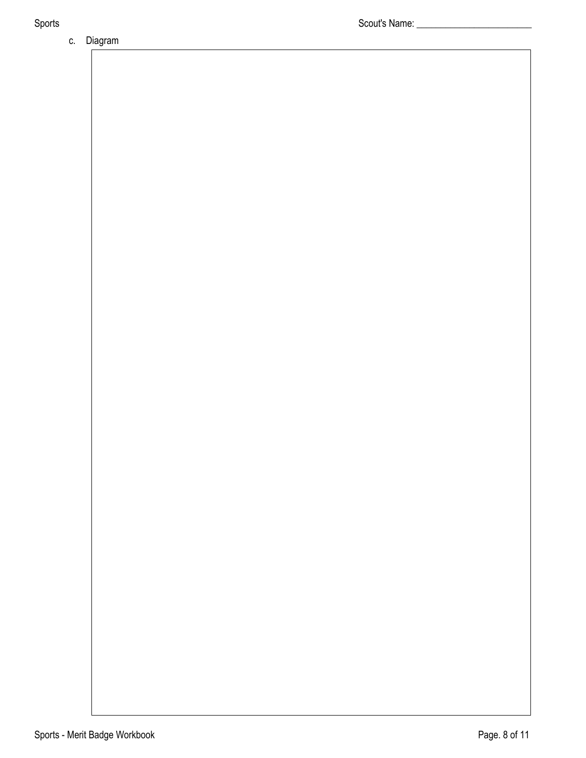c. Diagram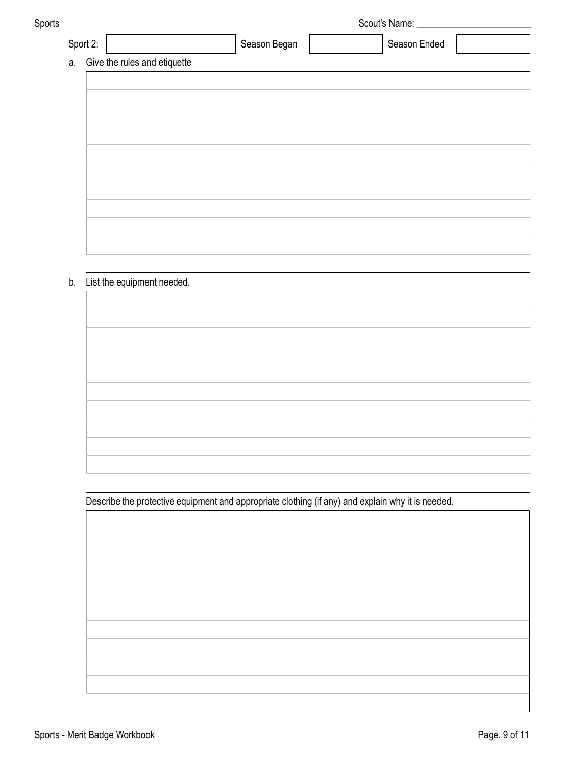|          |  |                              |  |  | Scout's Name: |  |  |  |                                                                                                   |  |
|----------|--|------------------------------|--|--|---------------|--|--|--|---------------------------------------------------------------------------------------------------|--|
| Sport 2: |  |                              |  |  | Season Began  |  |  |  | Season Ended                                                                                      |  |
| a.       |  | Give the rules and etiquette |  |  |               |  |  |  |                                                                                                   |  |
|          |  |                              |  |  |               |  |  |  |                                                                                                   |  |
|          |  |                              |  |  |               |  |  |  |                                                                                                   |  |
|          |  |                              |  |  |               |  |  |  |                                                                                                   |  |
|          |  |                              |  |  |               |  |  |  |                                                                                                   |  |
|          |  |                              |  |  |               |  |  |  |                                                                                                   |  |
|          |  |                              |  |  |               |  |  |  |                                                                                                   |  |
|          |  |                              |  |  |               |  |  |  |                                                                                                   |  |
|          |  |                              |  |  |               |  |  |  |                                                                                                   |  |
|          |  |                              |  |  |               |  |  |  |                                                                                                   |  |
|          |  |                              |  |  |               |  |  |  |                                                                                                   |  |
|          |  |                              |  |  |               |  |  |  |                                                                                                   |  |
|          |  |                              |  |  |               |  |  |  |                                                                                                   |  |
|          |  |                              |  |  |               |  |  |  |                                                                                                   |  |
| b.       |  | List the equipment needed.   |  |  |               |  |  |  |                                                                                                   |  |
|          |  |                              |  |  |               |  |  |  |                                                                                                   |  |
|          |  |                              |  |  |               |  |  |  |                                                                                                   |  |
|          |  |                              |  |  |               |  |  |  |                                                                                                   |  |
|          |  |                              |  |  |               |  |  |  |                                                                                                   |  |
|          |  |                              |  |  |               |  |  |  |                                                                                                   |  |
|          |  |                              |  |  |               |  |  |  |                                                                                                   |  |
|          |  |                              |  |  |               |  |  |  |                                                                                                   |  |
|          |  |                              |  |  |               |  |  |  |                                                                                                   |  |
|          |  |                              |  |  |               |  |  |  |                                                                                                   |  |
|          |  |                              |  |  |               |  |  |  |                                                                                                   |  |
|          |  |                              |  |  |               |  |  |  |                                                                                                   |  |
|          |  |                              |  |  |               |  |  |  |                                                                                                   |  |
|          |  |                              |  |  |               |  |  |  |                                                                                                   |  |
|          |  |                              |  |  |               |  |  |  | Describe the protective equipment and appropriate clothing (if any) and explain why it is needed. |  |
|          |  |                              |  |  |               |  |  |  |                                                                                                   |  |
|          |  |                              |  |  |               |  |  |  |                                                                                                   |  |
|          |  |                              |  |  |               |  |  |  |                                                                                                   |  |
|          |  |                              |  |  |               |  |  |  |                                                                                                   |  |
|          |  |                              |  |  |               |  |  |  |                                                                                                   |  |
|          |  |                              |  |  |               |  |  |  |                                                                                                   |  |
|          |  |                              |  |  |               |  |  |  |                                                                                                   |  |
|          |  |                              |  |  |               |  |  |  |                                                                                                   |  |
|          |  |                              |  |  |               |  |  |  |                                                                                                   |  |
|          |  |                              |  |  |               |  |  |  |                                                                                                   |  |
|          |  |                              |  |  |               |  |  |  |                                                                                                   |  |
|          |  |                              |  |  |               |  |  |  |                                                                                                   |  |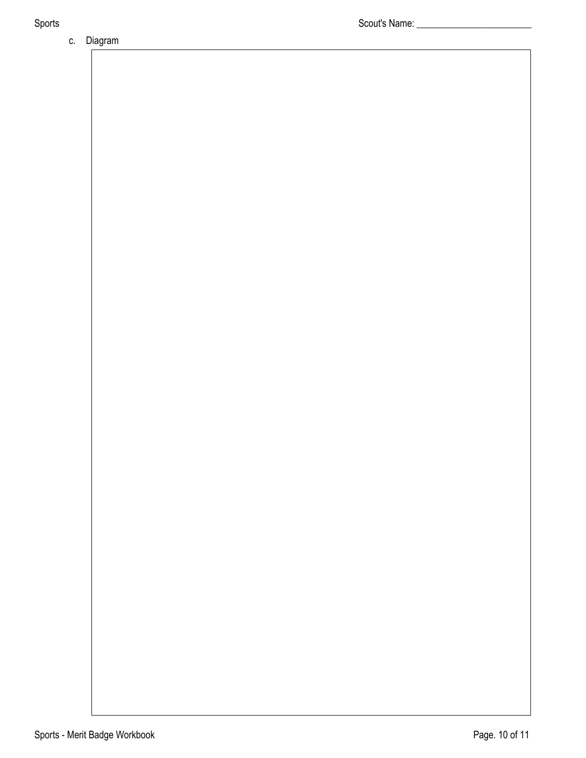c. Diagram